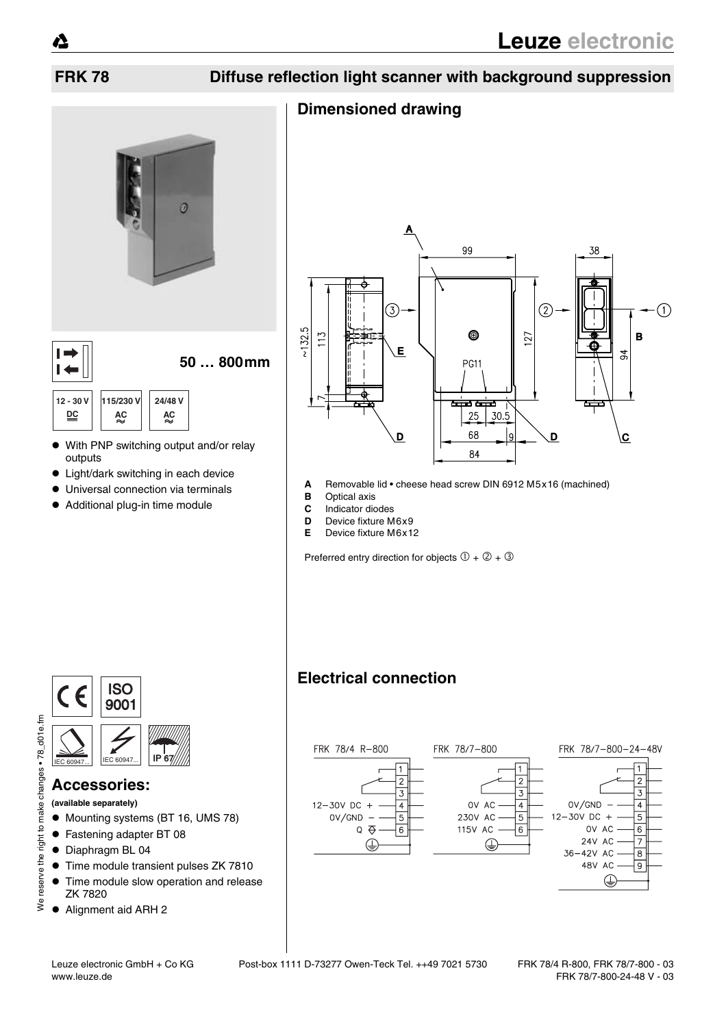# **FRK 78 Diffuse reflection light scanner with background suppression**

## **Dimensioned drawing**



- outputs
- Light/dark switching in each device
- Universal connection via terminals
- $\bullet$  Additional plug-in time module



- **A** Removable lid cheese head screw DIN 6912 M5x16 (machined)
- **B** Optical axis
- **C** Indicator diodes
- **D** Device fixture M6x9
- **E** Device fixture M6x12

Preferred entry direction for objects  $(1 + 2 + 3)$ 



#### **Accessories:**

**(available separately)**

- $\bullet$  Mounting systems (BT 16, UMS 78)
- Fastening adapter BT 08
- $\bullet$  Diaphragm BL 04
- Time module transient pulses ZK 7810
- Time module slow operation and release ZK 7820
- Alignment aid ARH 2



FRK 78/4 R-800

**Electrical connection**





⊕